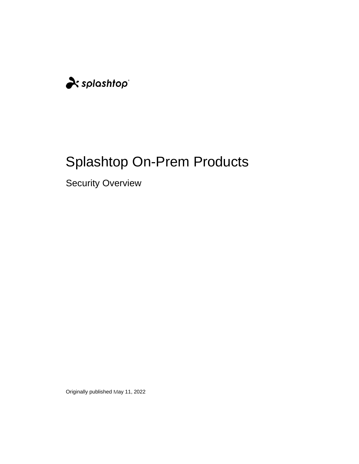

# Splashtop On-Prem Products

Security Overview

Originally published May 11, 2022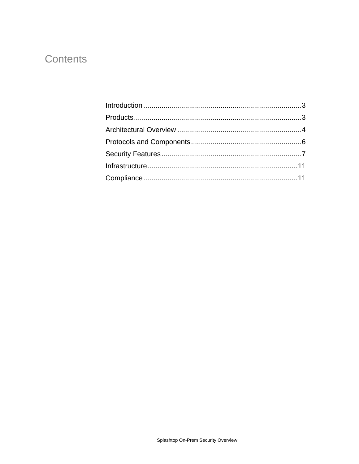### Contents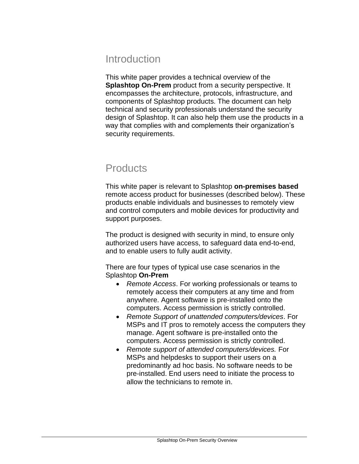### Introduction

This white paper provides a technical overview of the **Splashtop On-Prem** product from a security perspective. It encompasses the architecture, protocols, infrastructure, and components of Splashtop products. The document can help technical and security professionals understand the security design of Splashtop. It can also help them use the products in a way that complies with and complements their organization's security requirements.

### **Products**

This white paper is relevant to Splashtop **on-premises based** remote access product for businesses (described below). These products enable individuals and businesses to remotely view and control computers and mobile devices for productivity and support purposes.

The product is designed with security in mind, to ensure only authorized users have access, to safeguard data end-to-end, and to enable users to fully audit activity.

There are four types of typical use case scenarios in the Splashtop **On-Prem**

- *Remote Access*. For working professionals or teams to remotely access their computers at any time and from anywhere. Agent software is pre-installed onto the computers. Access permission is strictly controlled.
- *Remote Support of unattended computers/devices*. For MSPs and IT pros to remotely access the computers they manage. Agent software is pre-installed onto the computers. Access permission is strictly controlled.
- *Remote support of attended computers/devices.* For MSPs and helpdesks to support their users on a predominantly ad hoc basis. No software needs to be pre-installed. End users need to initiate the process to allow the technicians to remote in.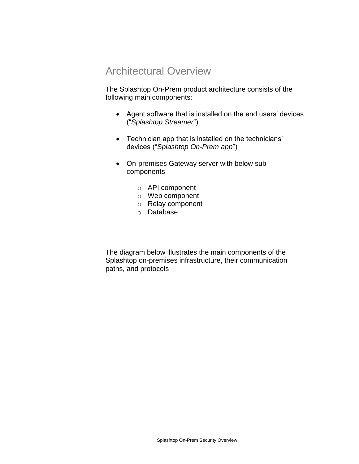### Architectural Overview

The Splashtop On-Prem product architecture consists of the following main components:

- Agent software that is installed on the end users' devices ("*Splashtop Streamer*")
- Technician app that is installed on the technicians' devices ("*Splashtop On-Prem app*")
- On-premises Gateway server with below subcomponents
	- o API component
	- o Web component
	- o Relay component
	- o Database

The diagram below illustrates the main components of the Splashtop on-premises infrastructure, their communication paths, and protocols.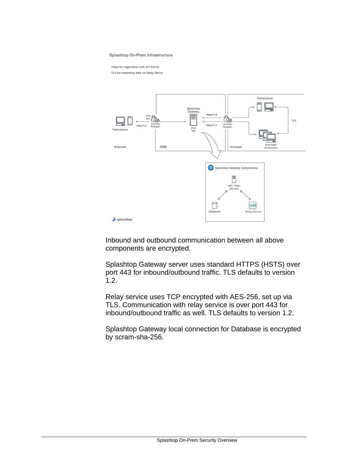#### **Splashtop On-Prem Infrastructure**

Https for negotiation with API Server

TLS for streaming data via Relay Server



Inbound and outbound communication between all above components are encrypted.

Splashtop Gateway server uses standard HTTPS (HSTS) over port 443 for inbound/outbound traffic. TLS defaults to version 1.2.

Relay service uses TCP encrypted with AES-256, set up via TLS. Communication with relay service is over port 443 for inbound/outbound traffic as well. TLS defaults to version 1.2.

Splashtop Gateway local connection for Database is encrypted by scram-sha-256.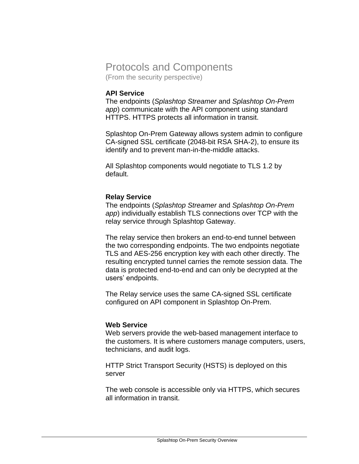### Protocols and Components

(From the security perspective)

#### **API Service**

The endpoints (*Splashtop Streamer* and *Splashtop On-Prem app*) communicate with the API component using standard HTTPS. HTTPS protects all information in transit.

Splashtop On-Prem Gateway allows system admin to configure CA-signed SSL certificate (2048-bit RSA SHA-2), to ensure its identify and to prevent man-in-the-middle attacks.

All Splashtop components would negotiate to TLS 1.2 by default.

#### **Relay Service**

The endpoints (*Splashtop Streamer* and *Splashtop On-Prem app*) individually establish TLS connections over TCP with the relay service through Splashtop Gateway.

The relay service then brokers an end-to-end tunnel between the two corresponding endpoints. The two endpoints negotiate TLS and AES-256 encryption key with each other directly. The resulting encrypted tunnel carries the remote session data. The data is protected end-to-end and can only be decrypted at the users' endpoints.

The Relay service uses the same CA-signed SSL certificate configured on API component in Splashtop On-Prem.

#### **Web Service**

Web servers provide the web-based management interface to the customers. It is where customers manage computers, users, technicians, and audit logs.

HTTP Strict Transport Security (HSTS) is deployed on this server

The web console is accessible only via HTTPS, which secures all information in transit.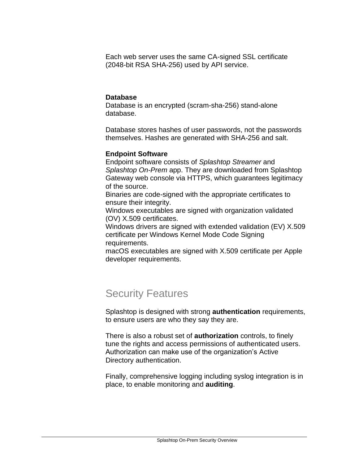Each web server uses the same CA-signed SSL certificate (2048-bit RSA SHA-256) used by API service.

#### **Database**

Database is an encrypted (scram-sha-256) stand-alone database.

Database stores hashes of user passwords, not the passwords themselves. Hashes are generated with SHA-256 and salt.

#### **Endpoint Software**

Endpoint software consists of *Splashtop Streamer* and *Splashtop On-Prem* app. They are downloaded from Splashtop Gateway web console via HTTPS, which guarantees legitimacy of the source.

Binaries are code-signed with the appropriate certificates to ensure their integrity.

Windows executables are signed with organization validated (OV) X.509 certificates.

Windows drivers are signed with extended validation (EV) X.509 certificate per Windows Kernel Mode Code Signing requirements.

macOS executables are signed with X.509 certificate per Apple developer requirements.

## Security Features

Splashtop is designed with strong **authentication** requirements, to ensure users are who they say they are.

There is also a robust set of **authorization** controls, to finely tune the rights and access permissions of authenticated users. Authorization can make use of the organization's Active Directory authentication.

Finally, comprehensive logging including syslog integration is in place, to enable monitoring and **auditing**.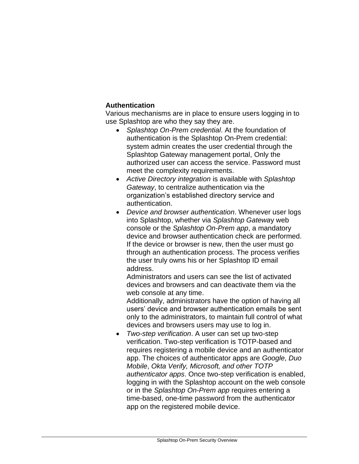### **Authentication**

Various mechanisms are in place to ensure users logging in to use Splashtop are who they say they are.

- *Splashtop On-Prem credential*. At the foundation of authentication is the Splashtop On-Prem credential: system admin creates the user credential through the Splashtop Gateway management portal, Only the authorized user can access the service. Password must meet the complexity requirements.
- *Active Directory integration* is available with *Splashtop Gateway*, to centralize authentication via the organization's established directory service and authentication.
- *Device and browser authentication*. Whenever user logs into Splashtop, whether via *Splashtop Gatewa*y web console or the *Splashtop On-Prem app*, a mandatory device and browser authentication check are performed. If the device or browser is new, then the user must go through an authentication process. The process verifies the user truly owns his or her Splashtop ID email address.

Administrators and users can see the list of activated devices and browsers and can deactivate them via the web console at any time.

Additionally, administrators have the option of having all users' device and browser authentication emails be sent only to the administrators, to maintain full control of what devices and browsers users may use to log in.

• *Two-step verification*. A user can set up two-step verification. Two-step verification is TOTP-based and requires registering a mobile device and an authenticator app. The choices of authenticator apps are *Google*, *Duo Mobile*, *Okta Verify, Microsoft, and other TOTP authenticator apps*. Once two-step verification is enabled, logging in with the Splashtop account on the web console or in the *Splashtop On-Prem app* requires entering a time-based, one-time password from the authenticator app on the registered mobile device.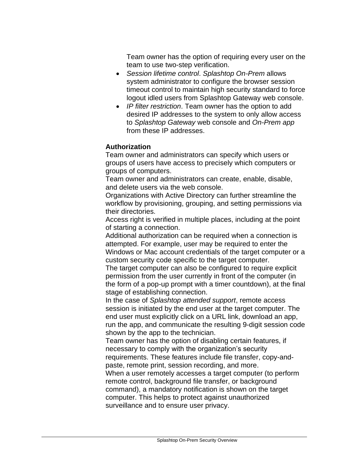Team owner has the option of requiring every user on the team to use two-step verification.

- *Session lifetime control*. *Splashtop On-Prem* allows system administrator to configure the browser session timeout control to maintain high security standard to force logout idled users from Splashtop Gateway web console.
- *IP filter restriction*. Team owner has the option to add desired IP addresses to the system to only allow access to *Splashtop Gateway* web console and *On-Prem app* from these IP addresses.

#### **Authorization**

Team owner and administrators can specify which users or groups of users have access to precisely which computers or groups of computers.

Team owner and administrators can create, enable, disable, and delete users via the web console.

Organizations with Active Directory can further streamline the workflow by provisioning, grouping, and setting permissions via their directories.

Access right is verified in multiple places, including at the point of starting a connection.

Additional authorization can be required when a connection is attempted. For example, user may be required to enter the Windows or Mac account credentials of the target computer or a custom security code specific to the target computer.

The target computer can also be configured to require explicit permission from the user currently in front of the computer (in the form of a pop-up prompt with a timer countdown), at the final stage of establishing connection.

In the case of *Splashtop attended support*, remote access session is initiated by the end user at the target computer. The end user must explicitly click on a URL link, download an app, run the app, and communicate the resulting 9-digit session code shown by the app to the technician.

Team owner has the option of disabling certain features, if necessary to comply with the organization's security requirements. These features include file transfer, copy-andpaste, remote print, session recording, and more.

When a user remotely accesses a target computer (to perform remote control, background file transfer, or background command), a mandatory notification is shown on the target computer. This helps to protect against unauthorized surveillance and to ensure user privacy.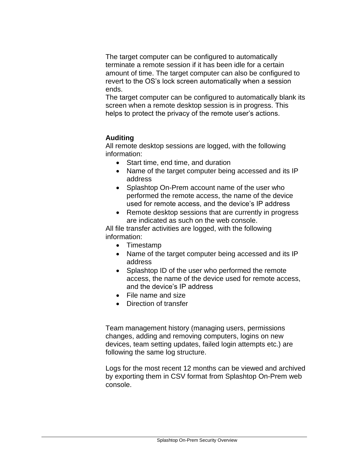The target computer can be configured to automatically terminate a remote session if it has been idle for a certain amount of time. The target computer can also be configured to revert to the OS's lock screen automatically when a session ends.

The target computer can be configured to automatically blank its screen when a remote desktop session is in progress. This helps to protect the privacy of the remote user's actions.

#### **Auditing**

All remote desktop sessions are logged, with the following information:

- Start time, end time, and duration
- Name of the target computer being accessed and its IP address
- Splashtop On-Prem account name of the user who performed the remote access, the name of the device used for remote access, and the device's IP address
- Remote desktop sessions that are currently in progress are indicated as such on the web console.

All file transfer activities are logged, with the following information:

- Timestamp
- Name of the target computer being accessed and its IP address
- Splashtop ID of the user who performed the remote access, the name of the device used for remote access, and the device's IP address
- File name and size
- Direction of transfer

Team management history (managing users, permissions changes, adding and removing computers, logins on new devices, team setting updates, failed login attempts etc.) are following the same log structure.

Logs for the most recent 12 months can be viewed and archived by exporting them in CSV format from Splashtop On-Prem web console.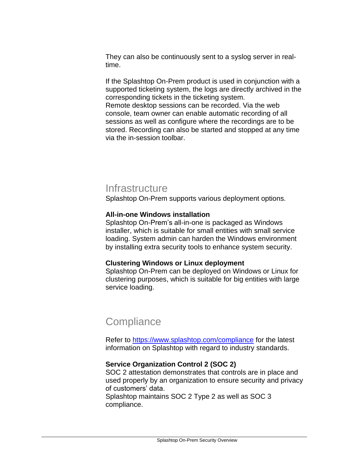They can also be continuously sent to a syslog server in realtime.

If the Splashtop On-Prem product is used in conjunction with a supported ticketing system, the logs are directly archived in the corresponding tickets in the ticketing system.

Remote desktop sessions can be recorded. Via the web console, team owner can enable automatic recording of all sessions as well as configure where the recordings are to be stored. Recording can also be started and stopped at any time via the in-session toolbar.

### **Infrastructure**

Splashtop On-Prem supports various deployment options.

#### **All-in-one Windows installation**

Splashtop On-Prem's all-in-one is packaged as Windows installer, which is suitable for small entities with small service loading. System admin can harden the Windows environment by installing extra security tools to enhance system security.

#### **Clustering Windows or Linux deployment**

Splashtop On-Prem can be deployed on Windows or Linux for clustering purposes, which is suitable for big entities with large service loading.

### **Compliance**

Refer to<https://www.splashtop.com/compliance> for the latest information on Splashtop with regard to industry standards.

#### **Service Organization Control 2 (SOC 2)**

SOC 2 attestation demonstrates that controls are in place and used properly by an organization to ensure security and privacy of customers' data.

Splashtop maintains SOC 2 Type 2 as well as SOC 3 compliance.